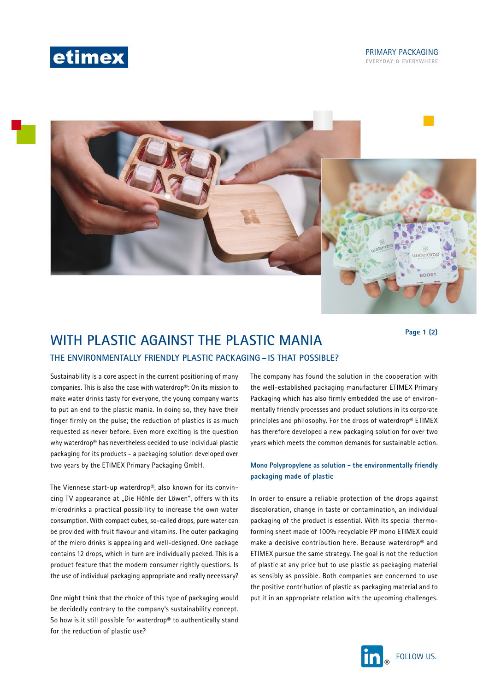



# **WITH PLASTIC AGAINST THE PLASTIC MANIA THE ENVIRONMENTALLY FRIENDLY PLASTIC PACKAGING– IS THAT POSSIBLE?**

**Page 1 (2)**

Sustainability is a core aspect in the current positioning of many companies. This is also the case with waterdrop®: On its mission to make water drinks tasty for everyone, the young company wants to put an end to the plastic mania. In doing so, they have their finger firmly on the pulse; the reduction of plastics is as much requested as never before. Even more exciting is the question why waterdrop® has nevertheless decided to use individual plastic packaging for its products - a packaging solution developed over two years by the ETIMEX Primary Packaging GmbH.

The Viennese start-up waterdrop®, also known for its convincing TV appearance at "Die Höhle der Löwen", offers with its microdrinks a practical possibility to increase the own water consumption. With compact cubes, so-called drops, pure water can be provided with fruit flavour and vitamins. The outer packaging of the micro drinks is appealing and well-designed. One package contains 12 drops, which in turn are individually packed. This is a product feature that the modern consumer rightly questions. Is the use of individual packaging appropriate and really necessary?

One might think that the choice of this type of packaging would be decidedly contrary to the company's sustainability concept. So how is it still possible for waterdrop® to authentically stand for the reduction of plastic use?

The company has found the solution in the cooperation with the well-established packaging manufacturer ETIMEX Primary Packaging which has also firmly embedded the use of environmentally friendly processes and product solutions in its corporate principles and philosophy. For the drops of waterdrop® ETIMEX has therefore developed a new packaging solution for over two years which meets the common demands for sustainable action.

### **Mono Polypropylene as solution - the environmentally friendly packaging made of plastic**

In order to ensure a reliable protection of the drops against discoloration, change in taste or contamination, an individual packaging of the product is essential. With its special thermoforming sheet made of 100% recyclable PP mono ETIMEX could make a decisive contribution here. Because waterdrop® and ETIMEX pursue the same strategy. The goal is not the reduction of plastic at any price but to use plastic as packaging material as sensibly as possible. Both companies are concerned to use the positive contribution of plastic as packaging material and to put it in an appropriate relation with the upcoming challenges.